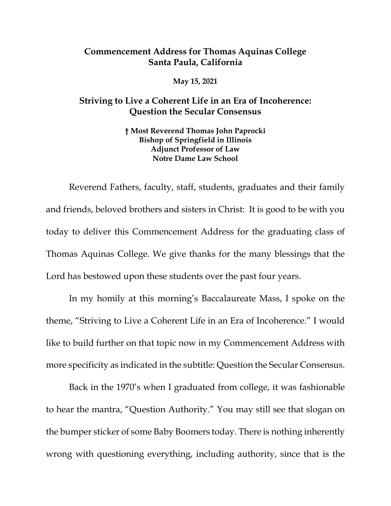## **Commencement Address for Thomas Aquinas College Santa Paula, California**

**May 15, 2021**

## **Striving to Live a Coherent Life in an Era of Incoherence: Question the Secular Consensus**

**† Most Reverend Thomas John Paprocki Bishop of Springfield in Illinois Adjunct Professor of Law Notre Dame Law School**

Reverend Fathers, faculty, staff, students, graduates and their family and friends, beloved brothers and sisters in Christ: It is good to be with you today to deliver this Commencement Address for the graduating class of Thomas Aquinas College. We give thanks for the many blessings that the Lord has bestowed upon these students over the past four years.

In my homily at this morning's Baccalaureate Mass, I spoke on the theme, "Striving to Live a Coherent Life in an Era of Incoherence." I would like to build further on that topic now in my Commencement Address with more specificity as indicated in the subtitle: Question the Secular Consensus.

Back in the 1970's when I graduated from college, it was fashionable to hear the mantra, "Question Authority." You may still see that slogan on the bumper sticker of some Baby Boomers today. There is nothing inherently wrong with questioning everything, including authority, since that is the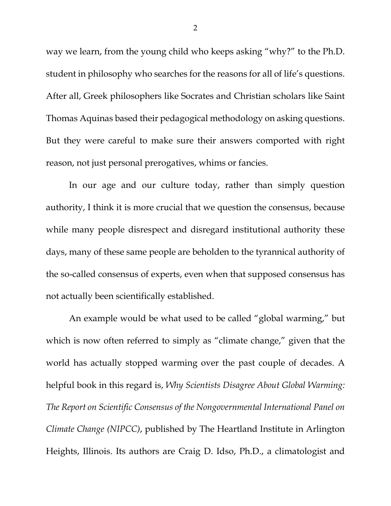way we learn, from the young child who keeps asking "why?" to the Ph.D. student in philosophy who searches for the reasons for all of life's questions. After all, Greek philosophers like Socrates and Christian scholars like Saint Thomas Aquinas based their pedagogical methodology on asking questions. But they were careful to make sure their answers comported with right reason, not just personal prerogatives, whims or fancies.

In our age and our culture today, rather than simply question authority, I think it is more crucial that we question the consensus, because while many people disrespect and disregard institutional authority these days, many of these same people are beholden to the tyrannical authority of the so-called consensus of experts, even when that supposed consensus has not actually been scientifically established.

An example would be what used to be called "global warming," but which is now often referred to simply as "climate change," given that the world has actually stopped warming over the past couple of decades. A helpful book in this regard is, *Why Scientists Disagree About Global Warming: The Report on Scientific Consensus of the Nongovernmental International Panel on Climate Change (NIPCC)*, published by The Heartland Institute in Arlington Heights, Illinois. Its authors are Craig D. Idso, Ph.D., a climatologist and

2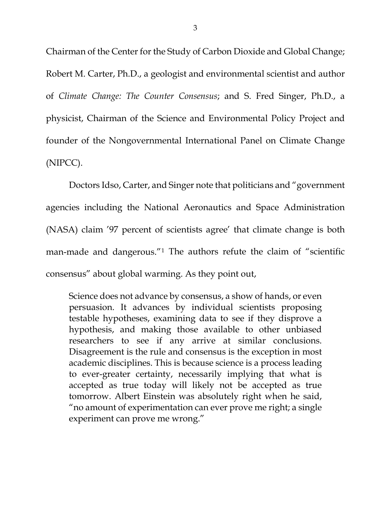Chairman of the Center for the Study of Carbon Dioxide and Global Change; Robert M. Carter, Ph.D., a geologist and environmental scientist and author of *Climate Change: The Counter Consensus*; and S. Fred Singer, Ph.D., a physicist, Chairman of the Science and Environmental Policy Project and founder of the Nongovernmental International Panel on Climate Change (NIPCC).

Doctors Idso, Carter, and Singer note that politicians and "government agencies including the National Aeronautics and Space Administration (NASA) claim '97 percent of scientists agree' that climate change is both man-made and dangerous.<sup>"[1](#page-7-0)</sup> The authors refute the claim of "scientific consensus" about global warming. As they point out,

Science does not advance by consensus, a show of hands, or even persuasion. It advances by individual scientists proposing testable hypotheses, examining data to see if they disprove a hypothesis, and making those available to other unbiased researchers to see if any arrive at similar conclusions. Disagreement is the rule and consensus is the exception in most academic disciplines. This is because science is a process leading to ever-greater certainty, necessarily implying that what is accepted as true today will likely not be accepted as true tomorrow. Albert Einstein was absolutely right when he said, "no amount of experimentation can ever prove me right; a single experiment can prove me wrong."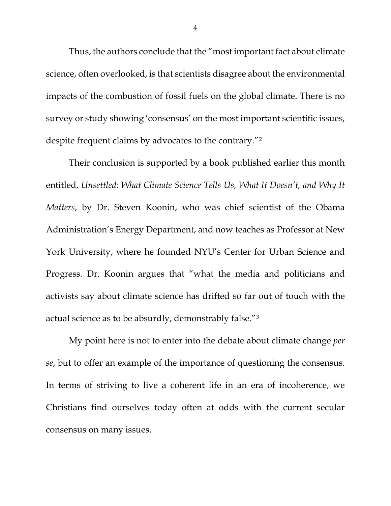Thus, the authors conclude that the "most important fact about climate science, often overlooked, is that scientists disagree about the environmental impacts of the combustion of fossil fuels on the global climate. There is no survey or study showing 'consensus' on the most important scientific issues, despite frequent claims by advocates to the contrary."[2](#page-8-0)

Their conclusion is supported by a book published earlier this month entitled, *Unsettled: What Climate Science Tells Us, What It Doesn't, and Why It Matters*, by Dr. Steven Koonin, who was chief scientist of the Obama Administration's Energy Department, and now teaches as Professor at New York University, where he founded NYU's Center for Urban Science and Progress. Dr. Koonin argues that "what the media and politicians and activists say about climate science has drifted so far out of touch with the actual science as to be absurdly, demonstrably false."[3](#page-8-1)

My point here is not to enter into the debate about climate change *per se*, but to offer an example of the importance of questioning the consensus. In terms of striving to live a coherent life in an era of incoherence, we Christians find ourselves today often at odds with the current secular consensus on many issues.

4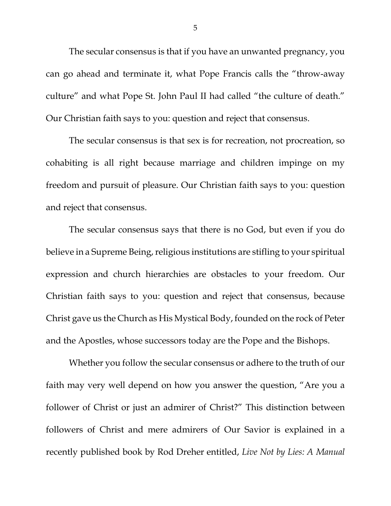The secular consensus is that if you have an unwanted pregnancy, you can go ahead and terminate it, what Pope Francis calls the "throw-away culture" and what Pope St. John Paul II had called "the culture of death." Our Christian faith says to you: question and reject that consensus.

The secular consensus is that sex is for recreation, not procreation, so cohabiting is all right because marriage and children impinge on my freedom and pursuit of pleasure. Our Christian faith says to you: question and reject that consensus.

The secular consensus says that there is no God, but even if you do believe in a Supreme Being, religious institutions are stifling to your spiritual expression and church hierarchies are obstacles to your freedom. Our Christian faith says to you: question and reject that consensus, because Christ gave us the Church as His Mystical Body, founded on the rock of Peter and the Apostles, whose successors today are the Pope and the Bishops.

Whether you follow the secular consensus or adhere to the truth of our faith may very well depend on how you answer the question, "Are you a follower of Christ or just an admirer of Christ?" This distinction between followers of Christ and mere admirers of Our Savior is explained in a recently published book by Rod Dreher entitled, *Live Not by Lies: A Manual* 

5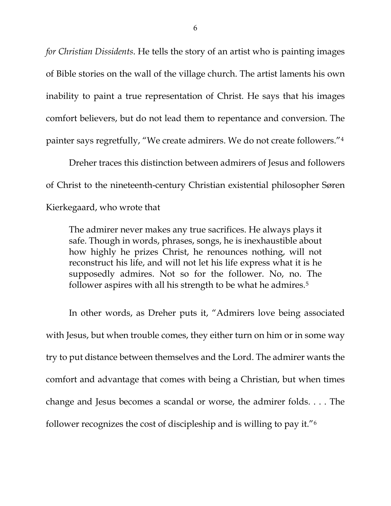*for Christian Dissidents*. He tells the story of an artist who is painting images of Bible stories on the wall of the village church. The artist laments his own inability to paint a true representation of Christ. He says that his images comfort believers, but do not lead them to repentance and conversion. The painter says regretfully, "We create admirers. We do not create followers."[4](#page-8-2)

Dreher traces this distinction between admirers of Jesus and followers of Christ to the nineteenth-century Christian existential philosopher Søren Kierkegaard, who wrote that

The admirer never makes any true sacrifices. He always plays it safe. Though in words, phrases, songs, he is inexhaustible about how highly he prizes Christ, he renounces nothing, will not reconstruct his life, and will not let his life express what it is he supposedly admires. Not so for the follower. No, no. The follower aspires with all his strength to be what he admires.<sup>[5](#page-8-3)</sup>

In other words, as Dreher puts it, "Admirers love being associated with Jesus, but when trouble comes, they either turn on him or in some way try to put distance between themselves and the Lord. The admirer wants the comfort and advantage that comes with being a Christian, but when times change and Jesus becomes a scandal or worse, the admirer folds. . . . The follower recognizes the cost of discipleship and is willing to pay it."[6](#page-8-4)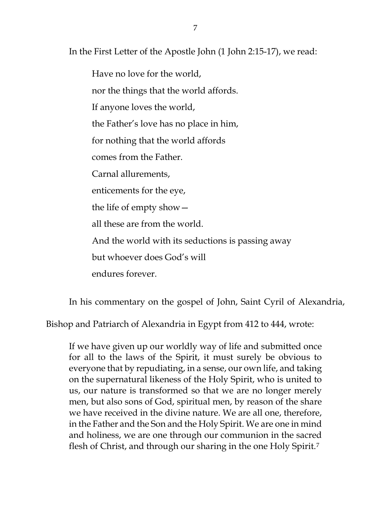In the First Letter of the Apostle John (1 John 2:15-17), we read:

Have no love for the world, nor the things that the world affords. If anyone loves the world, the Father's love has no place in him, for nothing that the world affords comes from the Father. Carnal allurements, enticements for the eye, the life of empty show all these are from the world. And the world with its seductions is passing away but whoever does God's will endures forever.

In his commentary on the gospel of John, Saint Cyril of Alexandria,

Bishop and Patriarch of Alexandria in Egypt from 412 to 444, wrote:

If we have given up our worldly way of life and submitted once for all to the laws of the Spirit, it must surely be obvious to everyone that by repudiating, in a sense, our own life, and taking on the supernatural likeness of the Holy Spirit, who is united to us, our nature is transformed so that we are no longer merely men, but also sons of God, spiritual men, by reason of the share we have received in the divine nature. We are all one, therefore, in the Father and the Son and the Holy Spirit. We are one in mind and holiness, we are one through our communion in the sacred flesh of Christ, and through our sharing in the one Holy Spirit.[7](#page-8-5)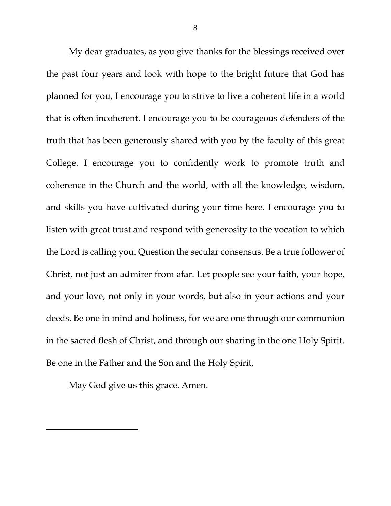My dear graduates, as you give thanks for the blessings received over the past four years and look with hope to the bright future that God has planned for you, I encourage you to strive to live a coherent life in a world that is often incoherent. I encourage you to be courageous defenders of the truth that has been generously shared with you by the faculty of this great College. I encourage you to confidently work to promote truth and coherence in the Church and the world, with all the knowledge, wisdom, and skills you have cultivated during your time here. I encourage you to listen with great trust and respond with generosity to the vocation to which the Lord is calling you. Question the secular consensus. Be a true follower of Christ, not just an admirer from afar. Let people see your faith, your hope, and your love, not only in your words, but also in your actions and your deeds. Be one in mind and holiness, for we are one through our communion in the sacred flesh of Christ, and through our sharing in the one Holy Spirit. Be one in the Father and the Son and the Holy Spirit.

<span id="page-7-0"></span>May God give us this grace. Amen.